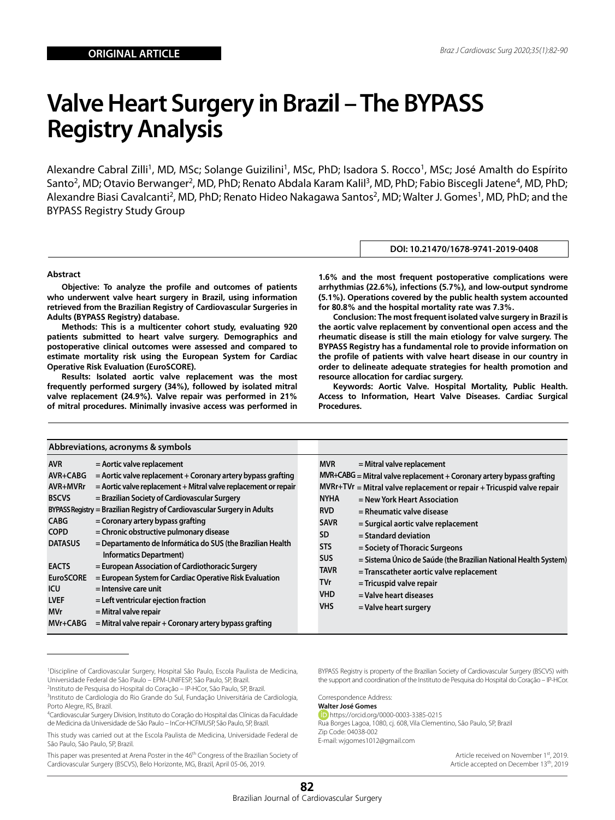# **Valve Heart Surgery in Brazil – The BYPASS Registry Analysis**

Alexandre Cabral Zilli<sup>1</sup>, MD, MSc; Solange Guizilini<sup>1</sup>, MSc, PhD; Isadora S. Rocco<sup>1</sup>, MSc; José Amalth do Espírito Santo<sup>2</sup>, MD; Otavio Berwanger<sup>2</sup>, MD, PhD; Renato Abdala Karam Kalil<sup>3</sup>, MD, PhD; Fabio Biscegli Jatene<sup>4</sup>, MD, PhD; Alexandre Biasi Cavalcanti<sup>2</sup>, MD, PhD; Renato Hideo Nakagawa Santos<sup>2</sup>, MD; Walter J. Gomes<sup>1</sup>, MD, PhD; and the BYPASS Registry Study Group

#### **Abstract**

**Objective: To analyze the profile and outcomes of patients who underwent valve heart surgery in Brazil, using information retrieved from the Brazilian Registry of Cardiovascular Surgeries in Adults (BYPASS Registry) database.**

**Methods: This is a multicenter cohort study, evaluating 920 patients submitted to heart valve surgery. Demographics and postoperative clinical outcomes were assessed and compared to estimate mortality risk using the European System for Cardiac Operative Risk Evaluation (EuroSCORE).**

**Results: Isolated aortic valve replacement was the most frequently performed surgery (34%), followed by isolated mitral valve replacement (24.9%). Valve repair was performed in 21% of mitral procedures. Minimally invasive access was performed in** 

**1.6% and the most frequent postoperative complications were arrhythmias (22.6%), infections (5.7%), and low-output syndrome (5.1%). Operations covered by the public health system accounted for 80.8% and the hospital mortality rate was 7.3%.**

**DOI: 10.21470/1678-9741-2019-0408**

**Conclusion: The most frequent isolated valve surgery in Brazil is the aortic valve replacement by conventional open access and the rheumatic disease is still the main etiology for valve surgery. The BYPASS Registry has a fundamental role to provide information on the profile of patients with valve heart disease in our country in order to delineate adequate strategies for health promotion and resource allocation for cardiac surgery.**

**Keywords: Aortic Valve. Hospital Mortality, Public Health. Access to Information, Heart Valve Diseases. Cardiac Surgical Procedures.**

| Abbreviations, acronyms & symbols                                                                                                                                                                                                                                                                                                                                                                                                                                                                                                                                                                                                                                                                                                                                                                                                                                                                                                                            |                                                                                                                                                                                                                                                                                                                                                                                                                                                                                                                                                                                                                                                                                                                 |
|--------------------------------------------------------------------------------------------------------------------------------------------------------------------------------------------------------------------------------------------------------------------------------------------------------------------------------------------------------------------------------------------------------------------------------------------------------------------------------------------------------------------------------------------------------------------------------------------------------------------------------------------------------------------------------------------------------------------------------------------------------------------------------------------------------------------------------------------------------------------------------------------------------------------------------------------------------------|-----------------------------------------------------------------------------------------------------------------------------------------------------------------------------------------------------------------------------------------------------------------------------------------------------------------------------------------------------------------------------------------------------------------------------------------------------------------------------------------------------------------------------------------------------------------------------------------------------------------------------------------------------------------------------------------------------------------|
| <b>AVR</b><br>$=$ Aortic valve replacement<br>$=$ Aortic valve replacement $+$ Coronary artery bypass grafting<br>$AVR+CABG$<br>AVR+MVRr<br>$=$ Aortic valve replacement + Mitral valve replacement or repair<br>= Brazilian Society of Cardiovascular Surgery<br><b>BSCVS</b><br>BYPASS Registry = Brazilian Registry of Cardiovascular Surgery in Adults<br><b>CABG</b><br>$=$ Coronary artery bypass grafting<br>= Chronic obstructive pulmonary disease<br><b>COPD</b><br><b>DATASUS</b><br>= Departamento de Informática do SUS (the Brazilian Health<br><b>Informatics Department)</b><br>= European Association of Cardiothoracic Surgery<br><b>EACTS</b><br><b>EuroSCORE</b><br>= European System for Cardiac Operative Risk Evaluation<br>ICU<br>= Intensive care unit<br><b>LVEF</b><br>$=$ Left ventricular ejection fraction<br>$=$ Mitral valve repair<br><b>MVr</b><br>MVr+CABG<br>$=$ Mitral valve repair $+$ Coronary artery bypass grafting | <b>MVR</b><br>$=$ Mitral valve replacement<br>$MVR+CABG = Mitral value replacement + Coronary artery bypass graffing$<br>$MVRr+TVr = Mitral value replacement or repair + Tricuspid value repair$<br><b>NYHA</b><br>= New York Heart Association<br><b>RVD</b><br>= Rheumatic valve disease<br><b>SAVR</b><br>= Surgical aortic valve replacement<br><b>SD</b><br>$=$ Standard deviation<br><b>STS</b><br>= Society of Thoracic Surgeons<br><b>SUS</b><br>= Sistema Único de Saúde (the Brazilian National Health System)<br><b>TAVR</b><br>= Transcatheter aortic valve replacement<br><b>TVr</b><br>$=$ Tricuspid valve repair<br><b>VHD</b><br>= Valve heart diseases<br><b>VHS</b><br>= Valve heart surgery |

1 Discipline of Cardiovascular Surgery, Hospital São Paulo, Escola Paulista de Medicina, Universidade Federal de São Paulo – EPM-UNIFESP, São Paulo, SP, Brazil.

2 Instituto de Pesquisa do Hospital do Coração – IP-HCor, São Paulo, SP, Brazil.

<sup>3</sup>Instituto de Cardiologia do Rio Grande do Sul, Fundação Universitária de Cardiologia, Porto Alegre, RS, Brazil.

4 Cardiovascular Surgery Division, Instituto do Coração do Hospital das Clínicas da Faculdade de Medicina da Universidade de São Paulo – InCor-HCFMUSP, São Paulo, SP, Brazil.

This paper was presented at Arena Poster in the 46th Congress of the Brazilian Society of Cardiovascular Surgery (BSCVS), Belo Horizonte, MG, Brazil, April 05-06, 2019.

BYPASS Registry is property of the Brazilian Society of Cardiovascular Surgery (BSCVS) with the support and coordination of the Instituto de Pesquisa do Hospital do Coração – IP-HCor.

Correspondence Address:

**Walter José Gomes** https://orcid.org/0000-0003-3385-0215

Rua Borges Lagoa, 1080, cj. 608, Vila Clementino, São Paulo, SP, Brazil Zip Code: 04038-002 E-mail: wjgomes1012@gmail.com

> Article received on November 1st, 2019. Article accepted on December 13th, 2019

This study was carried out at the Escola Paulista de Medicina, Universidade Federal de São Paulo, São Paulo, SP, Brazil.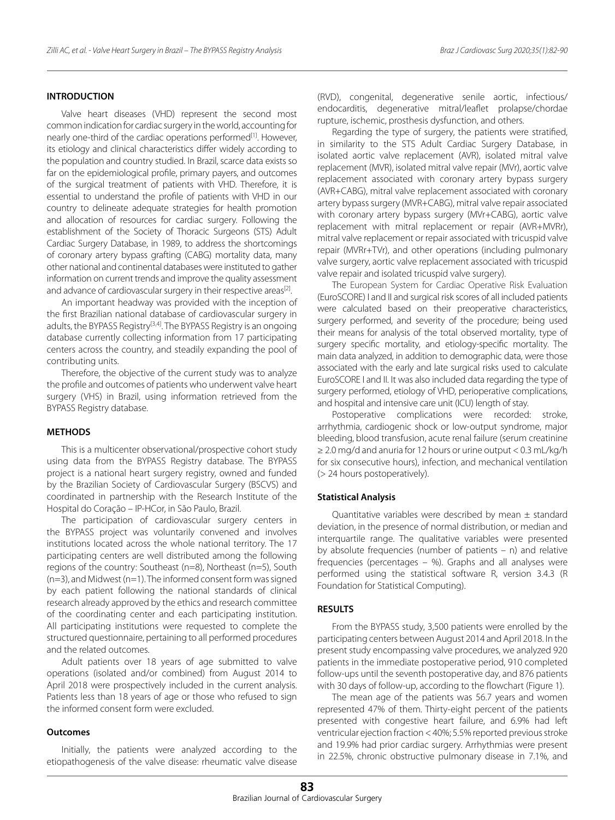## **INTRODUCTION**

Valve heart diseases (VHD) represent the second most common indication for cardiac surgery in the world, accounting for nearly one-third of the cardiac operations performed<sup>[1]</sup>. However, its etiology and clinical characteristics differ widely according to the population and country studied. In Brazil, scarce data exists so far on the epidemiological profile, primary payers, and outcomes of the surgical treatment of patients with VHD. Therefore, it is essential to understand the profile of patients with VHD in our country to delineate adequate strategies for health promotion and allocation of resources for cardiac surgery. Following the establishment of the Society of Thoracic Surgeons (STS) Adult Cardiac Surgery Database, in 1989, to address the shortcomings of coronary artery bypass grafting (CABG) mortality data, many other national and continental databases were instituted to gather information on current trends and improve the quality assessment and advance of cardiovascular surgery in their respective areas<sup>[2]</sup>.

An important headway was provided with the inception of the first Brazilian national database of cardiovascular surgery in adults, the BYPASS Registry<sup>[3,4]</sup>. The BYPASS Registry is an ongoing database currently collecting information from 17 participating centers across the country, and steadily expanding the pool of contributing units.

Therefore, the objective of the current study was to analyze the profile and outcomes of patients who underwent valve heart surgery (VHS) in Brazil, using information retrieved from the BYPASS Registry database.

### **METHODS**

This is a multicenter observational/prospective cohort study using data from the BYPASS Registry database. The BYPASS project is a national heart surgery registry, owned and funded by the Brazilian Society of Cardiovascular Surgery (BSCVS) and coordinated in partnership with the Research Institute of the Hospital do Coração – IP-HCor, in São Paulo, Brazil.

The participation of cardiovascular surgery centers in the BYPASS project was voluntarily convened and involves institutions located across the whole national territory. The 17 participating centers are well distributed among the following regions of the country: Southeast (n=8), Northeast (n=5), South (n=3), and Midwest (n=1). The informed consent form was signed by each patient following the national standards of clinical research already approved by the ethics and research committee of the coordinating center and each participating institution. All participating institutions were requested to complete the structured questionnaire, pertaining to all performed procedures and the related outcomes.

Adult patients over 18 years of age submitted to valve operations (isolated and/or combined) from August 2014 to April 2018 were prospectively included in the current analysis. Patients less than 18 years of age or those who refused to sign the informed consent form were excluded.

## **Outcomes**

Initially, the patients were analyzed according to the etiopathogenesis of the valve disease: rheumatic valve disease (RVD), congenital, degenerative senile aortic, infectious/ endocarditis, degenerative mitral/leaflet prolapse/chordae rupture, ischemic, prosthesis dysfunction, and others.

Regarding the type of surgery, the patients were stratified, in similarity to the STS Adult Cardiac Surgery Database, in isolated aortic valve replacement (AVR), isolated mitral valve replacement (MVR), isolated mitral valve repair (MVr), aortic valve replacement associated with coronary artery bypass surgery (AVR+CABG), mitral valve replacement associated with coronary artery bypass surgery (MVR+CABG), mitral valve repair associated with coronary artery bypass surgery (MVr+CABG), aortic valve replacement with mitral replacement or repair (AVR+MVRr), mitral valve replacement or repair associated with tricuspid valve repair (MVRr+TVr), and other operations (including pulmonary valve surgery, aortic valve replacement associated with tricuspid valve repair and isolated tricuspid valve surgery).

The European System for Cardiac Operative Risk Evaluation (EuroSCORE) I and II and surgical risk scores of all included patients were calculated based on their preoperative characteristics, surgery performed, and severity of the procedure; being used their means for analysis of the total observed mortality, type of surgery specific mortality, and etiology-specific mortality. The main data analyzed, in addition to demographic data, were those associated with the early and late surgical risks used to calculate EuroSCORE I and II. It was also included data regarding the type of surgery performed, etiology of VHD, perioperative complications, and hospital and intensive care unit (ICU) length of stay.

Postoperative complications were recorded: stroke, arrhythmia, cardiogenic shock or low-output syndrome, major bleeding, blood transfusion, acute renal failure (serum creatinine ≥ 2.0 mg/d and anuria for 12 hours or urine output < 0.3 mL/kg/h for six consecutive hours), infection, and mechanical ventilation (> 24 hours postoperatively).

#### **Statistical Analysis**

Quantitative variables were described by mean  $\pm$  standard deviation, in the presence of normal distribution, or median and interquartile range. The qualitative variables were presented by absolute frequencies (number of patients – n) and relative frequencies (percentages – %). Graphs and all analyses were performed using the statistical software R, version 3.4.3 (R Foundation for Statistical Computing).

### **RESULTS**

From the BYPASS study, 3,500 patients were enrolled by the participating centers between August 2014 and April 2018. In the present study encompassing valve procedures, we analyzed 920 patients in the immediate postoperative period, 910 completed follow-ups until the seventh postoperative day, and 876 patients with 30 days of follow-up, according to the flowchart (Figure 1).

The mean age of the patients was 56.7 years and women represented 47% of them. Thirty-eight percent of the patients presented with congestive heart failure, and 6.9% had left ventricular ejection fraction < 40%; 5.5% reported previous stroke and 19.9% had prior cardiac surgery. Arrhythmias were present in 22.5%, chronic obstructive pulmonary disease in 7.1%, and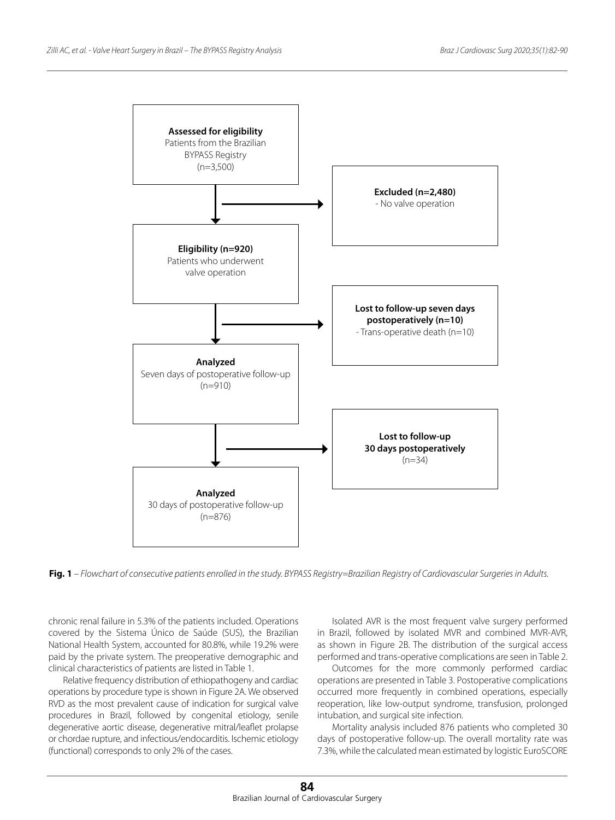

**Fig. 1** *– Flowchart of consecutive patients enrolled in the study. BYPASS Registry=Brazilian Registry of Cardiovascular Surgeries in Adults.*

chronic renal failure in 5.3% of the patients included. Operations covered by the Sistema Único de Saúde (SUS), the Brazilian National Health System, accounted for 80.8%, while 19.2% were paid by the private system. The preoperative demographic and clinical characteristics of patients are listed in Table 1.

Relative frequency distribution of ethiopathogeny and cardiac operations by procedure type is shown in Figure 2A. We observed RVD as the most prevalent cause of indication for surgical valve procedures in Brazil, followed by congenital etiology, senile degenerative aortic disease, degenerative mitral/leaflet prolapse or chordae rupture, and infectious/endocarditis. Ischemic etiology (functional) corresponds to only 2% of the cases.

Isolated AVR is the most frequent valve surgery performed in Brazil, followed by isolated MVR and combined MVR-AVR, as shown in Figure 2B. The distribution of the surgical access performed and trans-operative complications are seen in Table 2.

Outcomes for the more commonly performed cardiac operations are presented in Table 3. Postoperative complications occurred more frequently in combined operations, especially reoperation, like low-output syndrome, transfusion, prolonged intubation, and surgical site infection.

Mortality analysis included 876 patients who completed 30 days of postoperative follow-up. The overall mortality rate was 7.3%, while the calculated mean estimated by logistic EuroSCORE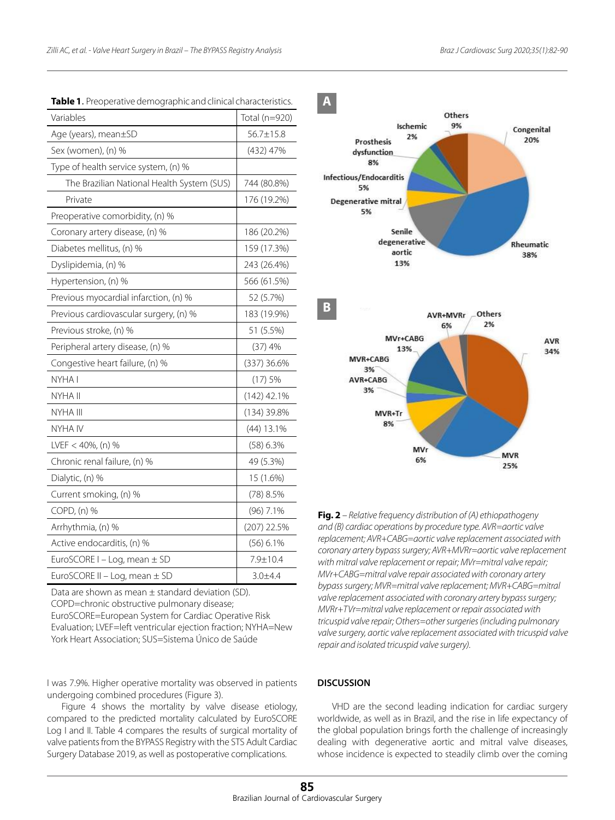| Variables                                  | Total (n=920) |
|--------------------------------------------|---------------|
| Age (years), mean±SD                       | 56.7±15.8     |
| Sex (women), (n) %                         | (432) 47%     |
| Type of health service system, (n) %       |               |
| The Brazilian National Health System (SUS) | 744 (80.8%)   |
| Private                                    | 176 (19.2%)   |
| Preoperative comorbidity, (n) %            |               |
| Coronary artery disease, (n) %             | 186 (20.2%)   |
| Diabetes mellitus, (n) %                   | 159 (17.3%)   |
| Dyslipidemia, (n) %                        | 243 (26.4%)   |
| Hypertension, (n) %                        | 566 (61.5%)   |
| Previous myocardial infarction, (n) %      | 52 (5.7%)     |
| Previous cardiovascular surgery, (n) %     | 183 (19.9%)   |
| Previous stroke, (n) %                     | 51 (5.5%)     |
| Peripheral artery disease, (n) %           | (37)4%        |
| Congestive heart failure, (n) %            | (337) 36.6%   |
| NYHA I                                     | (17)5%        |
| NYHA II                                    | $(142)$ 42.1% |
| NYHA III                                   | (134) 39.8%   |
| NYHA IV                                    | $(44)$ 13.1%  |
| LVEF $<$ 40%, (n) %                        | $(58)$ 6.3%   |
| Chronic renal failure, (n) %               | 49 (5.3%)     |
| Dialytic, (n) %                            | 15 (1.6%)     |
| Current smoking, (n) %                     | (78) 8.5%     |
| COPD, (n) %                                | (96) 7.1%     |
| Arrhythmia, (n) %                          | $(207)$ 22.5% |
| Active endocarditis, (n) %                 | (56) 6.1%     |
| EuroSCORE I - Log, mean ± SD               | 7.9±10.4      |
| EuroSCORE II - Log, mean $\pm$ SD          | $3.0 + 4.4$   |

**Table 1**. Preoperative demographic and clinical characteristics.

Data are shown as mean  $\pm$  standard deviation (SD). COPD=chronic obstructive pulmonary disease; EuroSCORE=European System for Cardiac Operative Risk Evaluation; LVEF=left ventricular ejection fraction; NYHA=New

York Heart Association; SUS=Sistema Único de Saúde

I was 7.9%. Higher operative mortality was observed in patients undergoing combined procedures (Figure 3).

Figure 4 shows the mortality by valve disease etiology, compared to the predicted mortality calculated by EuroSCORE Log I and II. Table 4 compares the results of surgical mortality of valve patients from the BYPASS Registry with the STS Adult Cardiac Surgery Database 2019, as well as postoperative complications.





**Fig. 2** *– Relative frequency distribution of (A) ethiopathogeny and (B) cardiac operations by procedure type. AVR=aortic valve replacement; AVR+CABG=aortic valve replacement associated with coronary artery bypass surgery; AVR+MVRr=aortic valve replacement with mitral valve replacement or repair; MVr=mitral valve repair; MVr+CABG=mitral valve repair associated with coronary artery bypass surgery; MVR=mitral valve replacement; MVR+CABG=mitral valve replacement associated with coronary artery bypass surgery; MVRr+TVr=mitral valve replacement or repair associated with tricuspid valve repair; Others=other surgeries (including pulmonary valve surgery, aortic valve replacement associated with tricuspid valve repair and isolated tricuspid valve surgery).*

## **DISCUSSION**

VHD are the second leading indication for cardiac surgery worldwide, as well as in Brazil, and the rise in life expectancy of the global population brings forth the challenge of increasingly dealing with degenerative aortic and mitral valve diseases, whose incidence is expected to steadily climb over the coming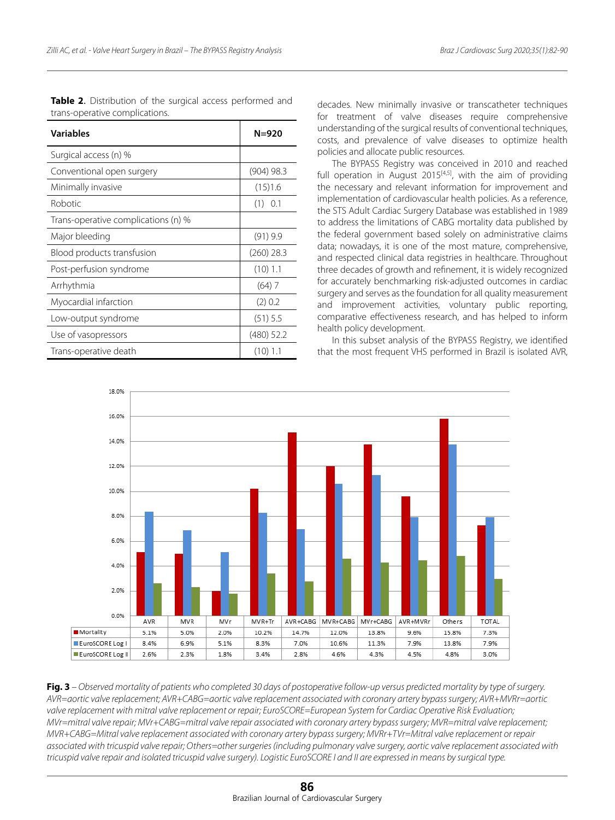| <b>Variables</b>                    | N=920        |  |  |  |
|-------------------------------------|--------------|--|--|--|
| Surgical access (n) %               |              |  |  |  |
| Conventional open surgery           | $(904)$ 98.3 |  |  |  |
| Minimally invasive                  | (15)1.6      |  |  |  |
| Robotic                             | $(1)$ 0.1    |  |  |  |
| Trans-operative complications (n) % |              |  |  |  |
| Major bleeding                      | $(91)$ 9.9   |  |  |  |
| Blood products transfusion          | $(260)$ 28.3 |  |  |  |
| Post-perfusion syndrome             | $(10)$ 1.1   |  |  |  |
| Arrhythmia                          | $(64)$ 7     |  |  |  |
| Myocardial infarction               | (2) 0.2      |  |  |  |
| Low-output syndrome                 | (51) 5.5     |  |  |  |
| Use of vasopressors                 | (480) 52.2   |  |  |  |
| Trans-operative death               | (10) 1.1     |  |  |  |

**Table 2**. Distribution of the surgical access performed and trans-operative complications.

decades. New minimally invasive or transcatheter techniques for treatment of valve diseases require comprehensive understanding of the surgical results of conventional techniques, costs, and prevalence of valve diseases to optimize health policies and allocate public resources.

The BYPASS Registry was conceived in 2010 and reached full operation in August  $2015^{[4,5]}$ , with the aim of providing the necessary and relevant information for improvement and implementation of cardiovascular health policies. As a reference, the STS Adult Cardiac Surgery Database was established in 1989 to address the limitations of CABG mortality data published by the federal government based solely on administrative claims data; nowadays, it is one of the most mature, comprehensive, and respected clinical data registries in healthcare. Throughout three decades of growth and refinement, it is widely recognized for accurately benchmarking risk-adjusted outcomes in cardiac surgery and serves as the foundation for all quality measurement and improvement activities, voluntary public reporting, comparative effectiveness research, and has helped to inform health policy development.

In this subset analysis of the BYPASS Registry, we identified that the most frequent VHS performed in Brazil is isolated AVR,



**Fig. 3** *– Observed mortality of patients who completed 30 days of postoperative follow-up versus predicted mortality by type of surgery. AVR=aortic valve replacement; AVR+CABG=aortic valve replacement associated with coronary artery bypass surgery; AVR+MVRr=aortic valve replacement with mitral valve replacement or repair; EuroSCORE=European System for Cardiac Operative Risk Evaluation; MVr=mitral valve repair; MVr+CABG=mitral valve repair associated with coronary artery bypass surgery; MVR=mitral valve replacement; MVR+CABG=Mitral valve replacement associated with coronary artery bypass surgery; MVRr+TVr=Mitral valve replacement or repair associated with tricuspid valve repair; Others=other surgeries (including pulmonary valve surgery, aortic valve replacement associated with tricuspid valve repair and isolated tricuspid valve surgery). Logistic EuroSCORE I and II are expressed in means by surgical type.*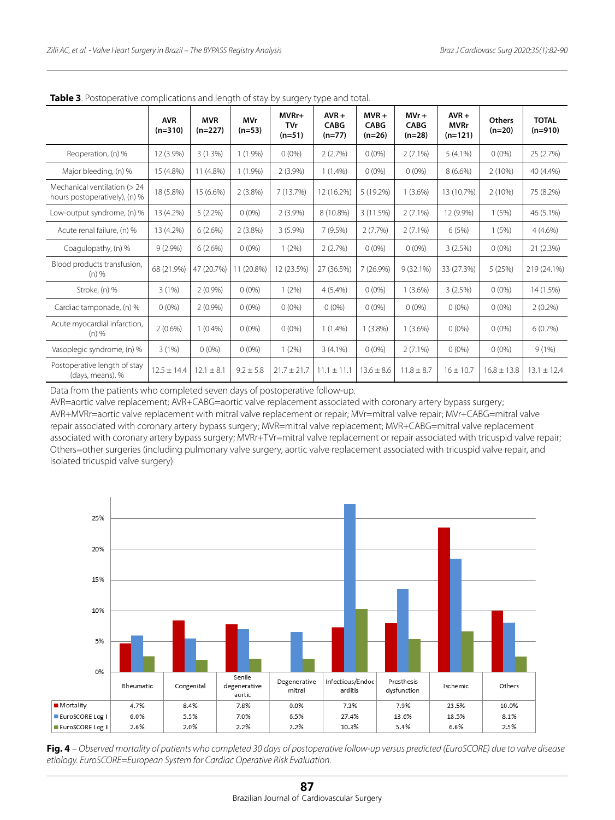| <b>TUDIC 3.</b> I OStoperative complications and length of stay by sargery type and total. |                         |                         |                        |                                 |                                    |                                    |                                    |                                     |                           |                           |  |
|--------------------------------------------------------------------------------------------|-------------------------|-------------------------|------------------------|---------------------------------|------------------------------------|------------------------------------|------------------------------------|-------------------------------------|---------------------------|---------------------------|--|
|                                                                                            | <b>AVR</b><br>$(n=310)$ | <b>MVR</b><br>$(n=227)$ | <b>MVr</b><br>$(n=53)$ | MVRr+<br><b>TVr</b><br>$(n=51)$ | $AVR +$<br><b>CABG</b><br>$(n=77)$ | $MVR +$<br><b>CABG</b><br>$(n=26)$ | $MVr +$<br><b>CABG</b><br>$(n=28)$ | $AVR +$<br><b>MVRr</b><br>$(n=121)$ | <b>Others</b><br>$(n=20)$ | <b>TOTAL</b><br>$(n=910)$ |  |
| Reoperation, (n) %                                                                         | 12 (3.9%)               | 3(1.3%)                 | $1(1.9\%)$             | $0(0\%)$                        | 2(2.7%)                            | $0(0\%)$                           | $2(7.1\%)$                         | $5(4.1\%)$                          | $0(0\%)$                  | 25 (2.7%)                 |  |
| Major bleeding, (n) %                                                                      | 15 (4.8%)               | 11 (4.8%)               | $1(1.9\%)$             | $2(3.9\%)$                      | $1(1.4\%)$                         | $0(0\%)$                           | $0(0\%)$                           | $8(6.6\%)$                          | 2(10%)                    | 40 (4.4%)                 |  |
| Mechanical ventilation (> 24<br>hours postoperatively), (n) %                              | 18 (5.8%)               | 15 (6.6%)               | $2(3.8\%)$             | 7 (13.7%)                       | 12 (16.2%)                         | 5 (19.2%)                          | $1(3.6\%)$                         | 13 (10.7%)                          | 2(10%)                    | 75 (8.2%)                 |  |
| Low-output syndrome, (n) %                                                                 | 13 (4.2%)               | $5(2.2\%)$              | $0(0\%)$               | $2(3.9\%)$                      | 8 (10.8%)                          | 3(11.5%)                           | $2(7.1\%)$                         | 12 (9.9%)                           | 1(5%)                     | 46 (5.1%)                 |  |
| Acute renal failure, (n) %                                                                 | 13 (4.2%)               | 6(2.6%)                 | $2(3.8\%)$             | $3(5.9\%)$                      | 7(9.5%)                            | 2(7.7%)                            | $2(7.1\%)$                         | 6(5%)                               | 1(5%)                     | $4(4.6\%)$                |  |
| Coagulopathy, (n) %                                                                        | $9(2.9\%)$              | 6(2.6%)                 | $0(0\%)$               | 1(2%)                           | 2(2.7%)                            | $0(0\%)$                           | $0(0\%)$                           | 3(2.5%)                             | $0(0\%)$                  | 21(2.3%)                  |  |
| Blood products transfusion,<br>$(n)$ %                                                     | 68 (21.9%)              | 47 (20.7%)              | 11 (20.8%)             | 12 (23.5%)                      | 27 (36.5%)                         | $7(26.9\%)$                        | $9(32.1\%)$                        | 33 (27.3%)                          | 5(25%)                    | 219 (24.1%)               |  |
| Stroke, (n) %                                                                              | 3(1%)                   | $2(0.9\%)$              | $0(0\%)$               | 1(2%)                           | $4(5.4\%)$                         | $0(0\%)$                           | $1(3.6\%)$                         | 3(2.5%)                             | $0(0\%)$                  | 14 (1.5%)                 |  |
| Cardiac tamponade, (n) %                                                                   | $0(0\%)$                | $2(0.9\%)$              | $0(0\%)$               | $0(0\%)$                        | $0(0\%)$                           | $0(0\%)$                           | $0(0\%)$                           | $0(0\%)$                            | $0(0\%)$                  | $2(0.2\%)$                |  |
| Acute myocardial infarction,<br>$(n)$ %                                                    | $2(0.6\%)$              | $1(0.4\%)$              | $0(0\%)$               | $0(0\%)$                        | $1(1.4\%)$                         | $1(3.8\%)$                         | $1(3.6\%)$                         | $0(0\%)$                            | $0(0\%)$                  | 6(0.7%)                   |  |
| Vasoplegic syndrome, (n) %                                                                 | 3(1%)                   | $0(0\%)$                | $0(0\%)$               | 1(2%)                           | $3(4.1\%)$                         | $0(0\%)$                           | $2(7.1\%)$                         | $0(0\%)$                            | $0(0\%)$                  | 9(1%)                     |  |
| Postoperative length of stay<br>(days, means), %                                           | $12.5 \pm 14.4$         | $12.1 \pm 8.1$          | $9.2 \pm 5.8$          | $21.7 \pm 21.7$                 | $11.1 \pm 11.1$                    | $13.6 \pm 8.6$                     | $11.8 \pm 8.7$                     | $16 \pm 10.7$                       | $16.8 \pm 13.8$           | $13.1 \pm 12.4$           |  |

**Table 3**. Postoperative complications and length of stay by surgery type and total.

Data from the patients who completed seven days of postoperative follow-up.

AVR=aortic valve replacement; AVR+CABG=aortic valve replacement associated with coronary artery bypass surgery; AVR+MVRr=aortic valve replacement with mitral valve replacement or repair; MVr=mitral valve repair; MVr+CABG=mitral valve repair associated with coronary artery bypass surgery; MVR=mitral valve replacement; MVR+CABG=mitral valve replacement associated with coronary artery bypass surgery; MVRr+TVr=mitral valve replacement or repair associated with tricuspid valve repair; Others=other surgeries (including pulmonary valve surgery, aortic valve replacement associated with tricuspid valve repair, and isolated tricuspid valve surgery)



**Fig. 4** *– Observed mortality of patients who completed 30 days of postoperative follow-up versus predicted (EuroSCORE) due to valve disease etiology. EuroSCORE=European System for Cardiac Operative Risk Evaluation.*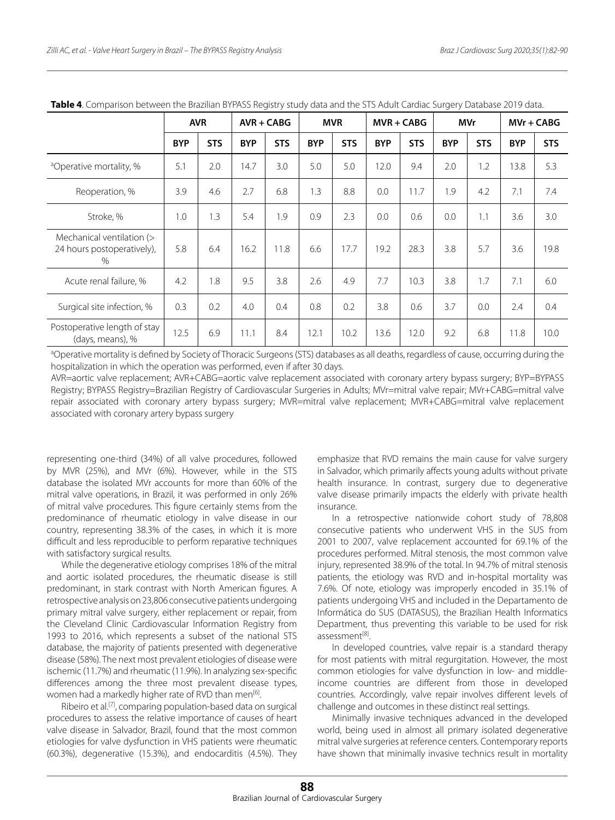|                                                                 | <b>AVR</b> |            | $AVR + CABG$ |            | <b>MVR</b> |            | $MVR + CABG$ |            | MVr        |            | $MV + CABG$ |            |
|-----------------------------------------------------------------|------------|------------|--------------|------------|------------|------------|--------------|------------|------------|------------|-------------|------------|
|                                                                 | <b>BYP</b> | <b>STS</b> | <b>BYP</b>   | <b>STS</b> | <b>BYP</b> | <b>STS</b> | <b>BYP</b>   | <b>STS</b> | <b>BYP</b> | <b>STS</b> | <b>BYP</b>  | <b>STS</b> |
| <sup>a</sup> Operative mortality, %                             | 5.1        | 2.0        | 14.7         | 3.0        | 5.0        | 5.0        | 12.0         | 9.4        | 2.0        | 1.2        | 13.8        | 5.3        |
| Reoperation, %                                                  | 3.9        | 4.6        | 2.7          | 6.8        | 1.3        | 8.8        | 0.0          | 11.7       | 1.9        | 4.2        | 7.1         | 7.4        |
| Stroke, %                                                       | 1.0        | 1.3        | 5.4          | 1.9        | 0.9        | 2.3        | 0.0          | 0.6        | 0.0        | 1.1        | 3.6         | 3.0        |
| Mechanical ventilation (><br>24 hours postoperatively),<br>$\%$ | 5.8        | 6.4        | 16.2         | 11.8       | 6.6        | 17.7       | 19.2         | 28.3       | 3.8        | 5.7        | 3.6         | 19.8       |
| Acute renal failure, %                                          | 4.2        | 1.8        | 9.5          | 3.8        | 2.6        | 4.9        | 7.7          | 10.3       | 3.8        | 1.7        | 7.1         | 6.0        |
| Surgical site infection, %                                      | 0.3        | 0.2        | 4.0          | 0.4        | 0.8        | 0.2        | 3.8          | 0.6        | 3.7        | 0.0        | 2.4         | 0.4        |
| Postoperative length of stay<br>(days, means), %                | 12.5       | 6.9        | 11.1         | 8.4        | 12.1       | 10.2       | 13.6         | 12.0       | 9.2        | 6.8        | 11.8        | 10.0       |

**Table 4**. Comparison between the Brazilian BYPASS Registry study data and the STS Adult Cardiac Surgery Database 2019 data.

aOperative mortality is defined by Society of Thoracic Surgeons (STS) databases as all deaths, regardless of cause, occurring during the hospitalization in which the operation was performed, even if after 30 days.

AVR=aortic valve replacement; AVR+CABG=aortic valve replacement associated with coronary artery bypass surgery; BYP=BYPASS Registry; BYPASS Registry=Brazilian Registry of Cardiovascular Surgeries in Adults; MVr=mitral valve repair; MVr+CABG=mitral valve repair associated with coronary artery bypass surgery; MVR=mitral valve replacement; MVR+CABG=mitral valve replacement associated with coronary artery bypass surgery

representing one-third (34%) of all valve procedures, followed by MVR (25%), and MVr (6%). However, while in the STS database the isolated MVr accounts for more than 60% of the mitral valve operations, in Brazil, it was performed in only 26% of mitral valve procedures. This figure certainly stems from the predominance of rheumatic etiology in valve disease in our country, representing 38.3% of the cases, in which it is more difficult and less reproducible to perform reparative techniques with satisfactory surgical results.

While the degenerative etiology comprises 18% of the mitral and aortic isolated procedures, the rheumatic disease is still predominant, in stark contrast with North American figures. A retrospective analysis on 23,806 consecutive patients undergoing primary mitral valve surgery, either replacement or repair, from the Cleveland Clinic Cardiovascular Information Registry from 1993 to 2016, which represents a subset of the national STS database, the majority of patients presented with degenerative disease (58%). The next most prevalent etiologies of disease were ischemic (11.7%) and rheumatic (11.9%). In analyzing sex-specific differences among the three most prevalent disease types, women had a markedly higher rate of RVD than men<sup>[6]</sup>.

Ribeiro et al.<sup>[7]</sup>, comparing population-based data on surgical procedures to assess the relative importance of causes of heart valve disease in Salvador, Brazil, found that the most common etiologies for valve dysfunction in VHS patients were rheumatic (60.3%), degenerative (15.3%), and endocarditis (4.5%). They

emphasize that RVD remains the main cause for valve surgery in Salvador, which primarily affects young adults without private health insurance. In contrast, surgery due to degenerative valve disease primarily impacts the elderly with private health insurance.

In a retrospective nationwide cohort study of 78,808 consecutive patients who underwent VHS in the SUS from 2001 to 2007, valve replacement accounted for 69.1% of the procedures performed. Mitral stenosis, the most common valve injury, represented 38.9% of the total. In 94.7% of mitral stenosis patients, the etiology was RVD and in-hospital mortality was 7.6%. Of note, etiology was improperly encoded in 35.1% of patients undergoing VHS and included in the Departamento de Informática do SUS (DATASUS), the Brazilian Health Informatics Department, thus preventing this variable to be used for risk assessment[8].

In developed countries, valve repair is a standard therapy for most patients with mitral regurgitation. However, the most common etiologies for valve dysfunction in low- and middleincome countries are different from those in developed countries. Accordingly, valve repair involves different levels of challenge and outcomes in these distinct real settings.

Minimally invasive techniques advanced in the developed world, being used in almost all primary isolated degenerative mitral valve surgeries at reference centers. Contemporary reports have shown that minimally invasive technics result in mortality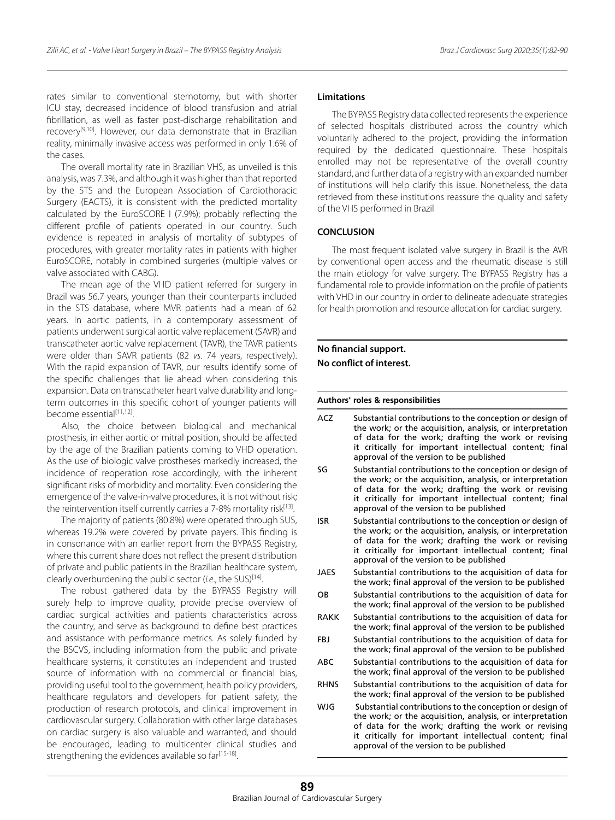rates similar to conventional sternotomy, but with shorter ICU stay, decreased incidence of blood transfusion and atrial fibrillation, as well as faster post-discharge rehabilitation and recovery<sup>[9,10]</sup>. However, our data demonstrate that in Brazilian reality, minimally invasive access was performed in only 1.6% of the cases.

The overall mortality rate in Brazilian VHS, as unveiled is this analysis, was 7.3%, and although it was higher than that reported by the STS and the European Association of Cardiothoracic Surgery (EACTS), it is consistent with the predicted mortality calculated by the EuroSCORE I (7.9%); probably reflecting the different profile of patients operated in our country. Such evidence is repeated in analysis of mortality of subtypes of procedures, with greater mortality rates in patients with higher EuroSCORE, notably in combined surgeries (multiple valves or valve associated with CABG).

The mean age of the VHD patient referred for surgery in Brazil was 56.7 years, younger than their counterparts included in the STS database, where MVR patients had a mean of 62 years. In aortic patients, in a contemporary assessment of patients underwent surgical aortic valve replacement (SAVR) and transcatheter aortic valve replacement (TAVR), the TAVR patients were older than SAVR patients (82 *vs*. 74 years, respectively). With the rapid expansion of TAVR, our results identify some of the specific challenges that lie ahead when considering this expansion. Data on transcatheter heart valve durability and longterm outcomes in this specific cohort of younger patients will become essential[11,12].

Also, the choice between biological and mechanical prosthesis, in either aortic or mitral position, should be affected by the age of the Brazilian patients coming to VHD operation. As the use of biologic valve prostheses markedly increased, the incidence of reoperation rose accordingly, with the inherent significant risks of morbidity and mortality. Even considering the emergence of the valve-in-valve procedures, it is not without risk; the reintervention itself currently carries a 7-8% mortality risk<sup>[13]</sup>.

The majority of patients (80.8%) were operated through SUS, whereas 19.2% were covered by private payers. This finding is in consonance with an earlier report from the BYPASS Registry, where this current share does not reflect the present distribution of private and public patients in the Brazilian healthcare system, clearly overburdening the public sector (*i.e*., the SUS)[14].

The robust gathered data by the BYPASS Registry will surely help to improve quality, provide precise overview of cardiac surgical activities and patients characteristics across the country, and serve as background to define best practices and assistance with performance metrics. As solely funded by the BSCVS, including information from the public and private healthcare systems, it constitutes an independent and trusted source of information with no commercial or financial bias, providing useful tool to the government, health policy providers, healthcare regulators and developers for patient safety, the production of research protocols, and clinical improvement in cardiovascular surgery. Collaboration with other large databases on cardiac surgery is also valuable and warranted, and should be encouraged, leading to multicenter clinical studies and strengthening the evidences available so far<sup>[15-18]</sup>.

## **Limitations**

The BYPASS Registry data collected represents the experience of selected hospitals distributed across the country which voluntarily adhered to the project, providing the information required by the dedicated questionnaire. These hospitals enrolled may not be representative of the overall country standard, and further data of a registry with an expanded number of institutions will help clarify this issue. Nonetheless, the data retrieved from these institutions reassure the quality and safety of the VHS performed in Brazil

#### **CONCLUSION**

The most frequent isolated valve surgery in Brazil is the AVR by conventional open access and the rheumatic disease is still the main etiology for valve surgery. The BYPASS Registry has a fundamental role to provide information on the profile of patients with VHD in our country in order to delineate adequate strategies for health promotion and resource allocation for cardiac surgery.

## **No financial support.**

**No conflict of interest.**

#### **Authors' roles & responsibilities**

ACZ SG ISR JAES **OB** RAKK FBJ ABC RHNS WJG Substantial contributions to the conception or design of the work; or the acquisition, analysis, or interpretation of data for the work; drafting the work or revising it critically for important intellectual content; final approval of the version to be published Substantial contributions to the conception or design of the work; or the acquisition, analysis, or interpretation of data for the work; drafting the work or revising it critically for important intellectual content; final approval of the version to be published Substantial contributions to the conception or design of the work; or the acquisition, analysis, or interpretation of data for the work; drafting the work or revising it critically for important intellectual content; final approval of the version to be published Substantial contributions to the acquisition of data for the work; final approval of the version to be published Substantial contributions to the acquisition of data for the work; final approval of the version to be published Substantial contributions to the acquisition of data for the work; final approval of the version to be published Substantial contributions to the acquisition of data for the work; final approval of the version to be published Substantial contributions to the acquisition of data for the work; final approval of the version to be published Substantial contributions to the acquisition of data for the work; final approval of the version to be published Substantial contributions to the conception or design of the work; or the acquisition, analysis, or interpretation of data for the work; drafting the work or revising it critically for important intellectual content; final

approval of the version to be published